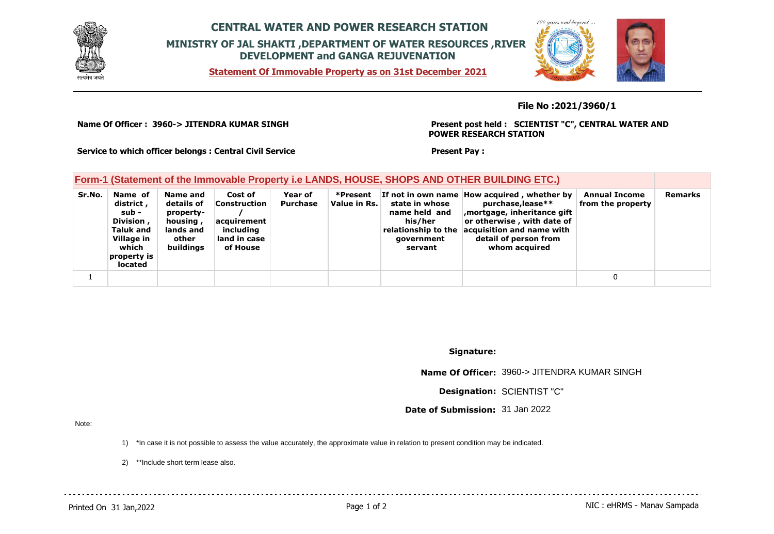

## **CENTRAL WATER AND POWER RESEARCH STATION MINISTRY OF JAL SHAKTI ,DEPARTMENT OF WATER RESOURCES ,RIVER DEVELOPMENT and GANGA REJUVENATION**

**Statement Of Immovable Property as on 31st December 2021**



**File No :2021/3960/1**

**Name Of Officer : 3960-> JITENDRA KUMAR SINGH** 

**Present post held : SCIENTIST "C", CENTRAL WATER AND POWER RESEARCH STATION**

 $100$ 

**Service to which officer belongs : Central Civil Service**

**Present Pay :** 

|  |  | Form-1 (Statement of the Immovable Property i.e LANDS, HOUSE, SHOPS AND OTHER BUILDING ETC.) |
|--|--|----------------------------------------------------------------------------------------------|
|  |  |                                                                                              |

| Sr.No. | Name of<br>district,<br>sub -<br>Division,<br><b>Taluk and</b><br>Village in<br>which<br>property is<br>located | Name and<br>details of<br>property-<br>housing,<br>lands and<br>other<br><b>buildings</b> | Cost of<br>Construction<br>acquirement<br>including<br>land in case<br>of House | Year of<br><b>Purchase</b> | *Present<br>Value in Rs. | state in whose<br>name held and<br>his/her<br>relationship to the<br>government<br>servant | If not in own name How acquired, whether by<br>purchase, lease**<br>mortgage, inheritance gift<br>or otherwise, with date of<br>acquisition and name with<br>detail of person from<br>whom acquired | <b>Annual Income</b><br>from the property | Remarks |
|--------|-----------------------------------------------------------------------------------------------------------------|-------------------------------------------------------------------------------------------|---------------------------------------------------------------------------------|----------------------------|--------------------------|--------------------------------------------------------------------------------------------|-----------------------------------------------------------------------------------------------------------------------------------------------------------------------------------------------------|-------------------------------------------|---------|
|        |                                                                                                                 |                                                                                           |                                                                                 |                            |                          |                                                                                            |                                                                                                                                                                                                     |                                           |         |

**Signature:**

**Name Of Officer:** 3960-> JITENDRA KUMAR SINGH

**Designation:** SCIENTIST "C"

**Date of Submission:** 31 Jan 2022

Note:

1) \*In case it is not possible to assess the value accurately, the approximate value in relation to present condition may be indicated.

2) \*\*Include short term lease also.